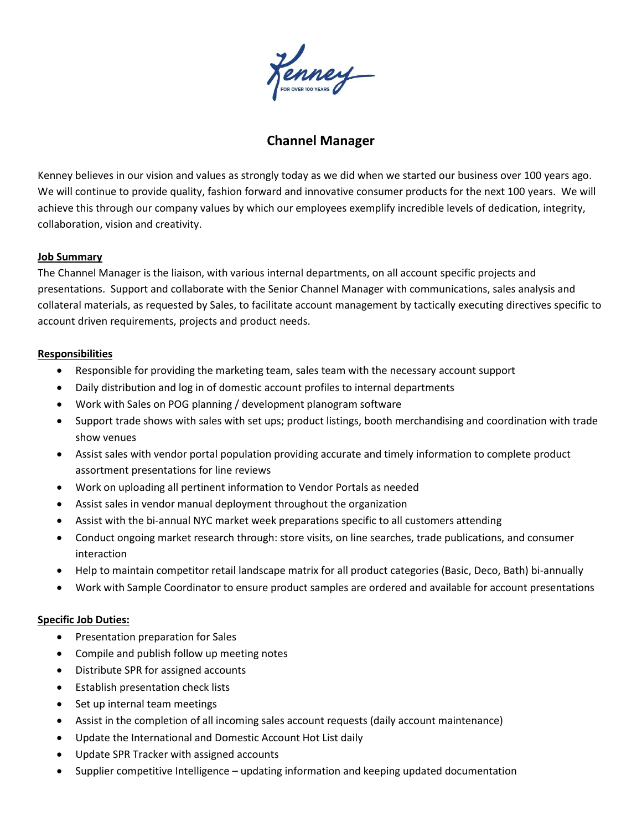enney

# **Channel Manager**

Kenney believes in our vision and values as strongly today as we did when we started our business over 100 years ago. We will continue to provide quality, fashion forward and innovative consumer products for the next 100 years. We will achieve this through our company values by which our employees exemplify incredible levels of dedication, integrity, collaboration, vision and creativity.

# **Job Summary**

The Channel Manager is the liaison, with various internal departments, on all account specific projects and presentations. Support and collaborate with the Senior Channel Manager with communications, sales analysis and collateral materials, as requested by Sales, to facilitate account management by tactically executing directives specific to account driven requirements, projects and product needs.

## **Responsibilities**

- Responsible for providing the marketing team, sales team with the necessary account support
- Daily distribution and log in of domestic account profiles to internal departments
- Work with Sales on POG planning / development planogram software
- Support trade shows with sales with set ups; product listings, booth merchandising and coordination with trade show venues
- Assist sales with vendor portal population providing accurate and timely information to complete product assortment presentations for line reviews
- Work on uploading all pertinent information to Vendor Portals as needed
- Assist sales in vendor manual deployment throughout the organization
- Assist with the bi-annual NYC market week preparations specific to all customers attending
- Conduct ongoing market research through: store visits, on line searches, trade publications, and consumer interaction
- Help to maintain competitor retail landscape matrix for all product categories (Basic, Deco, Bath) bi-annually
- Work with Sample Coordinator to ensure product samples are ordered and available for account presentations

### **Specific Job Duties:**

- Presentation preparation for Sales
- Compile and publish follow up meeting notes
- Distribute SPR for assigned accounts
- Establish presentation check lists
- Set up internal team meetings
- Assist in the completion of all incoming sales account requests (daily account maintenance)
- Update the International and Domestic Account Hot List daily
- Update SPR Tracker with assigned accounts
- Supplier competitive Intelligence updating information and keeping updated documentation